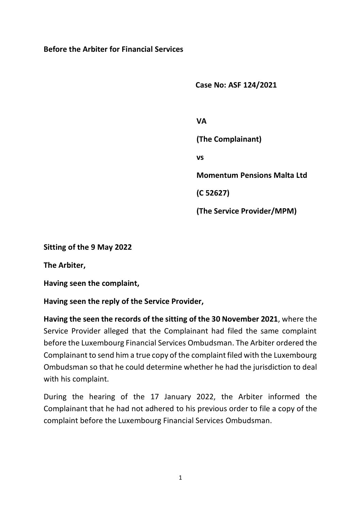## **Before the Arbiter for Financial Services**

 **Case No: ASF 124/2021**

 **VA (The Complainant) vs Momentum Pensions Malta Ltd (C 52627) (The Service Provider/MPM)**

**Sitting of the 9 May 2022**

**The Arbiter,** 

**Having seen the complaint,**

**Having seen the reply of the Service Provider,**

**Having the seen the records of the sitting of the 30 November 2021**, where the Service Provider alleged that the Complainant had filed the same complaint before the Luxembourg Financial Services Ombudsman. The Arbiter ordered the Complainant to send him a true copy of the complaint filed with the Luxembourg Ombudsman so that he could determine whether he had the jurisdiction to deal with his complaint.

During the hearing of the 17 January 2022, the Arbiter informed the Complainant that he had not adhered to his previous order to file a copy of the complaint before the Luxembourg Financial Services Ombudsman.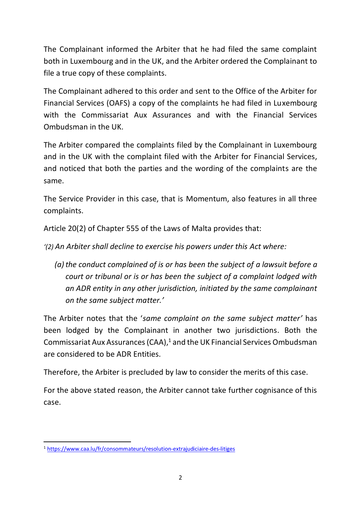The Complainant informed the Arbiter that he had filed the same complaint both in Luxembourg and in the UK, and the Arbiter ordered the Complainant to file a true copy of these complaints.

The Complainant adhered to this order and sent to the Office of the Arbiter for Financial Services (OAFS) a copy of the complaints he had filed in Luxembourg with the Commissariat Aux Assurances and with the Financial Services Ombudsman in the UK.

The Arbiter compared the complaints filed by the Complainant in Luxembourg and in the UK with the complaint filed with the Arbiter for Financial Services, and noticed that both the parties and the wording of the complaints are the same.

The Service Provider in this case, that is Momentum, also features in all three complaints.

Article 20(2) of Chapter 555 of the Laws of Malta provides that:

*'(2) An Arbiter shall decline to exercise his powers under this Act where:*

*(a)the conduct complained of is or has been the subject of a lawsuit before a court or tribunal or is or has been the subject of a complaint lodged with an ADR entity in any other jurisdiction, initiated by the same complainant on the same subject matter.'*

The Arbiter notes that the '*same complaint on the same subject matter'* has been lodged by the Complainant in another two jurisdictions. Both the Commissariat Aux Assurances (CAA), <sup>1</sup> and the UK Financial Services Ombudsman are considered to be ADR Entities.

Therefore, the Arbiter is precluded by law to consider the merits of this case.

For the above stated reason, the Arbiter cannot take further cognisance of this case.

<sup>1</sup> <https://www.caa.lu/fr/consommateurs/resolution-extrajudiciaire-des-litiges>